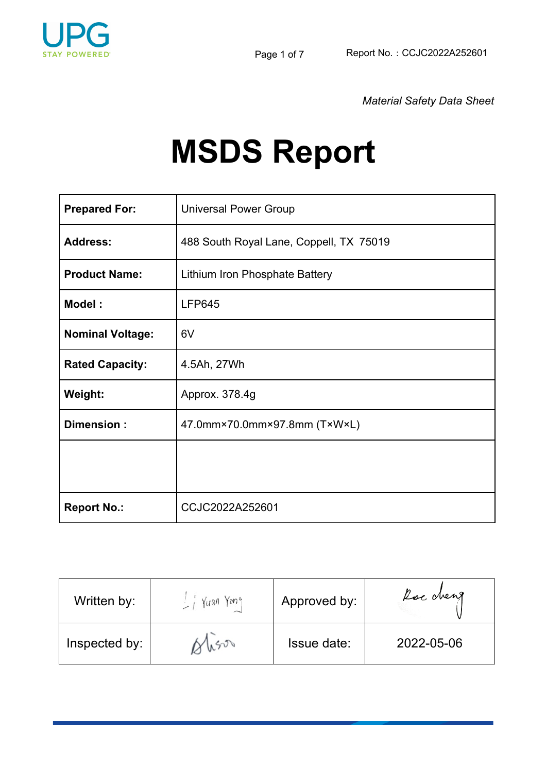

*Material Safety Data Sheet*

# **MSDS Report**

| <b>Prepared For:</b>    | <b>Universal Power Group</b>            |
|-------------------------|-----------------------------------------|
| <b>Address:</b>         | 488 South Royal Lane, Coppell, TX 75019 |
| <b>Product Name:</b>    | Lithium Iron Phosphate Battery          |
| Model:                  | <b>LFP645</b>                           |
| <b>Nominal Voltage:</b> | 6V                                      |
| <b>Rated Capacity:</b>  | 4.5Ah, 27Wh                             |
| Weight:                 | Approx. 378.4g                          |
| Dimension:              | 47.0mm×70.0mm×97.8mm (T×W×L)            |
|                         |                                         |
|                         |                                         |
| <b>Report No.:</b>      | CCJC2022A252601                         |

| Written by:   | Yone<br>Yuan | Approved by: | Roc cheng  |
|---------------|--------------|--------------|------------|
| Inspected by: | 40500        | Issue date:  | 2022-05-06 |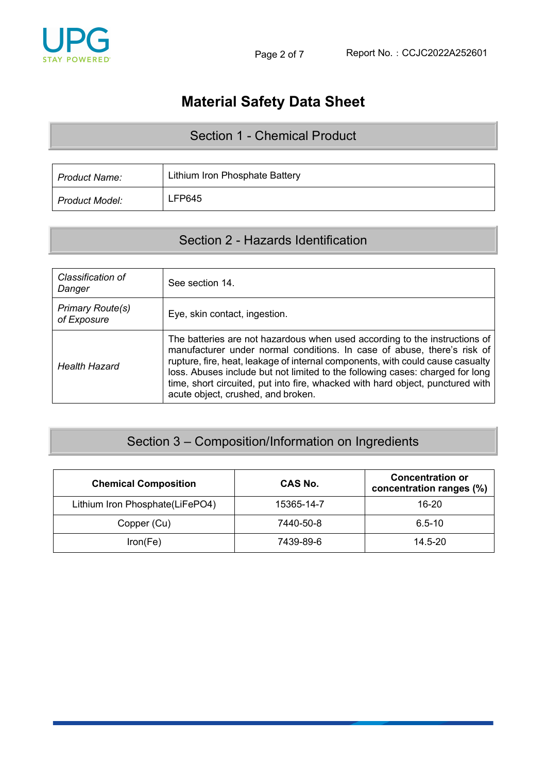

# **Material Safety Data Sheet**

#### Section 1 - Chemical Product

| <b>Product Name:</b>  | Lithium Iron Phosphate Battery |
|-----------------------|--------------------------------|
| <b>Product Model:</b> | LFP645                         |

#### Section 2 - Hazards Identification

| Classification of<br>Danger            | See section 14.                                                                                                                                                                                                                                                                                                                                                                                                                                  |
|----------------------------------------|--------------------------------------------------------------------------------------------------------------------------------------------------------------------------------------------------------------------------------------------------------------------------------------------------------------------------------------------------------------------------------------------------------------------------------------------------|
| <b>Primary Route(s)</b><br>of Exposure | Eye, skin contact, ingestion.                                                                                                                                                                                                                                                                                                                                                                                                                    |
| <b>Health Hazard</b>                   | The batteries are not hazardous when used according to the instructions of<br>manufacturer under normal conditions. In case of abuse, there's risk of<br>rupture, fire, heat, leakage of internal components, with could cause casualty<br>loss. Abuses include but not limited to the following cases: charged for long<br>time, short circuited, put into fire, whacked with hard object, punctured with<br>acute object, crushed, and broken. |

## Section 3 – Composition/Information on Ingredients

| <b>Chemical Composition</b>     | CAS No.    | <b>Concentration or</b><br>concentration ranges (%) |
|---------------------------------|------------|-----------------------------------------------------|
| Lithium Iron Phosphate(LiFePO4) | 15365-14-7 | 16-20                                               |
| Copper (Cu)                     | 7440-50-8  | $6.5 - 10$                                          |
| Iron(Fe)                        | 7439-89-6  | $14.5 - 20$                                         |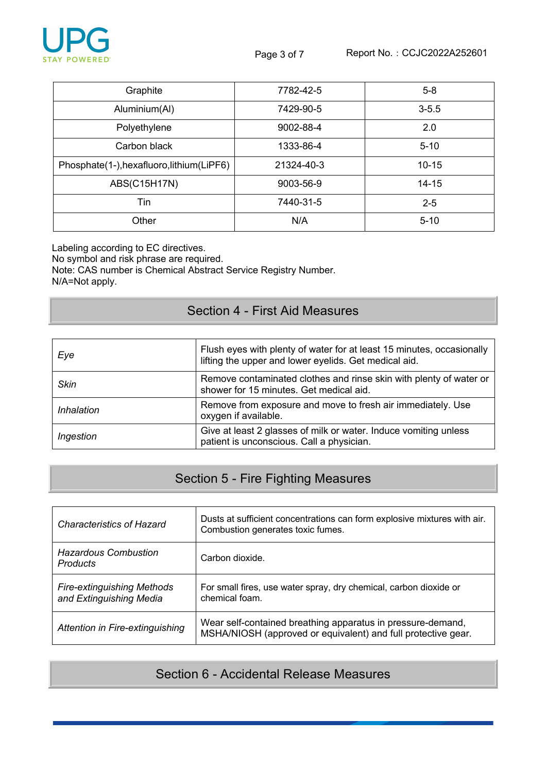

| Graphite                                   | 7782-42-5  | $5-8$     |
|--------------------------------------------|------------|-----------|
| Aluminium(Al)                              | 7429-90-5  | $3 - 5.5$ |
| Polyethylene                               | 9002-88-4  | 2.0       |
| Carbon black                               | 1333-86-4  | $5 - 10$  |
| Phosphate(1-), hexafluoro, lithium (LiPF6) | 21324-40-3 | $10 - 15$ |
| ABS(C15H17N)                               | 9003-56-9  | $14 - 15$ |
| Tin                                        | 7440-31-5  | $2 - 5$   |
| Other                                      | N/A        | $5 - 10$  |

Labeling according to EC directives.

No symbol and risk phrase are required.

Note: CAS number is Chemical Abstract Service Registry Number. N/A=Not apply.

#### Section 4 - First Aid Measures

| Eye         | Flush eyes with plenty of water for at least 15 minutes, occasionally<br>lifting the upper and lower eyelids. Get medical aid. |
|-------------|--------------------------------------------------------------------------------------------------------------------------------|
| <b>Skin</b> | Remove contaminated clothes and rinse skin with plenty of water or<br>shower for 15 minutes. Get medical aid.                  |
| Inhalation  | Remove from exposure and move to fresh air immediately. Use<br>oxygen if available.                                            |
| Ingestion   | Give at least 2 glasses of milk or water. Induce vomiting unless<br>patient is unconscious. Call a physician.                  |

### Section 5 - Fire Fighting Measures

| <b>Characteristics of Hazard</b>                             | Dusts at sufficient concentrations can form explosive mixtures with air.<br>Combustion generates toxic fumes.                |
|--------------------------------------------------------------|------------------------------------------------------------------------------------------------------------------------------|
| <b>Hazardous Combustion</b><br><b>Products</b>               | Carbon dioxide.                                                                                                              |
| <b>Fire-extinguishing Methods</b><br>and Extinguishing Media | For small fires, use water spray, dry chemical, carbon dioxide or<br>chemical foam.                                          |
| Attention in Fire-extinguishing                              | Wear self-contained breathing apparatus in pressure-demand,<br>MSHA/NIOSH (approved or equivalent) and full protective gear. |

#### Section 6 - Accidental Release Measures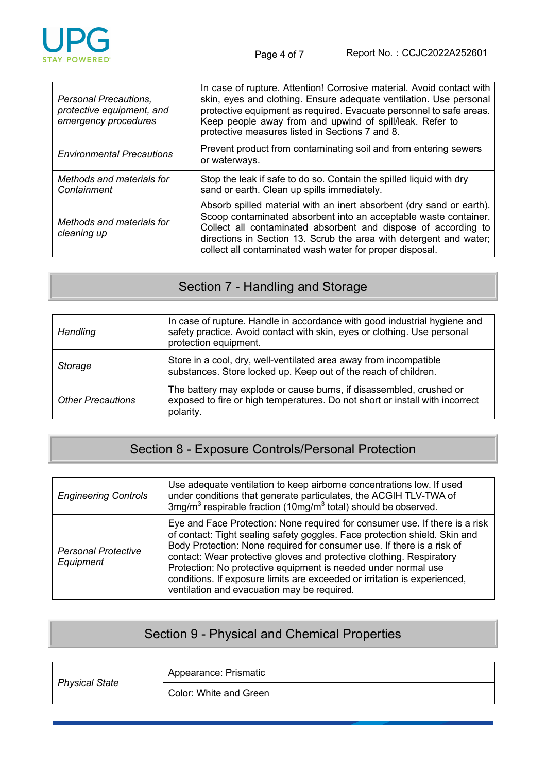

| Personal Precautions.<br>protective equipment, and<br>emergency procedures | In case of rupture. Attention! Corrosive material. Avoid contact with<br>skin, eyes and clothing. Ensure adequate ventilation. Use personal<br>protective equipment as required. Evacuate personnel to safe areas.<br>Keep people away from and upwind of spill/leak. Refer to<br>protective measures listed in Sections 7 and 8.            |
|----------------------------------------------------------------------------|----------------------------------------------------------------------------------------------------------------------------------------------------------------------------------------------------------------------------------------------------------------------------------------------------------------------------------------------|
| <b>Environmental Precautions</b>                                           | Prevent product from contaminating soil and from entering sewers<br>or waterways.                                                                                                                                                                                                                                                            |
| Methods and materials for<br>Containment                                   | Stop the leak if safe to do so. Contain the spilled liquid with dry<br>sand or earth. Clean up spills immediately.                                                                                                                                                                                                                           |
| Methods and materials for<br>cleaning up                                   | Absorb spilled material with an inert absorbent (dry sand or earth).<br>Scoop contaminated absorbent into an acceptable waste container.<br>Collect all contaminated absorbent and dispose of according to<br>directions in Section 13. Scrub the area with detergent and water;<br>collect all contaminated wash water for proper disposal. |

## Section 7 - Handling and Storage

| <b>Handling</b>          | In case of rupture. Handle in accordance with good industrial hygiene and<br>safety practice. Avoid contact with skin, eyes or clothing. Use personal<br>protection equipment. |
|--------------------------|--------------------------------------------------------------------------------------------------------------------------------------------------------------------------------|
| Storage                  | Store in a cool, dry, well-ventilated area away from incompatible<br>substances. Store locked up. Keep out of the reach of children.                                           |
| <b>Other Precautions</b> | The battery may explode or cause burns, if disassembled, crushed or<br>exposed to fire or high temperatures. Do not short or install with incorrect<br>polarity.               |

## Section 8 - Exposure Controls/Personal Protection

| <b>Engineering Controls</b>             | Use adequate ventilation to keep airborne concentrations low. If used<br>under conditions that generate particulates, the ACGIH TLV-TWA of<br>3mg/m <sup>3</sup> respirable fraction (10mg/m <sup>3</sup> total) should be observed.                                                                                                                                                                                                                                                                      |
|-----------------------------------------|-----------------------------------------------------------------------------------------------------------------------------------------------------------------------------------------------------------------------------------------------------------------------------------------------------------------------------------------------------------------------------------------------------------------------------------------------------------------------------------------------------------|
| <b>Personal Protective</b><br>Equipment | Eye and Face Protection: None required for consumer use. If there is a risk<br>of contact: Tight sealing safety goggles. Face protection shield. Skin and<br>Body Protection: None required for consumer use. If there is a risk of<br>contact: Wear protective gloves and protective clothing. Respiratory<br>Protection: No protective equipment is needed under normal use<br>conditions. If exposure limits are exceeded or irritation is experienced,<br>ventilation and evacuation may be required. |

## Section 9 - Physical and Chemical Properties

| <b>Physical State</b> | Appearance: Prismatic  |
|-----------------------|------------------------|
|                       | Color: White and Green |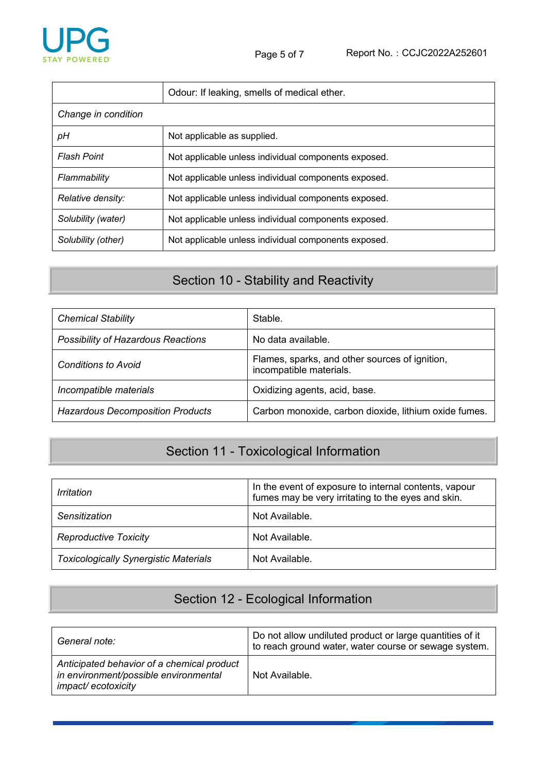

|                     | Odour: If leaking, smells of medical ether.          |  |
|---------------------|------------------------------------------------------|--|
| Change in condition |                                                      |  |
| pH                  | Not applicable as supplied.                          |  |
| <b>Flash Point</b>  | Not applicable unless individual components exposed. |  |
| Flammability        | Not applicable unless individual components exposed. |  |
| Relative density:   | Not applicable unless individual components exposed. |  |
| Solubility (water)  | Not applicable unless individual components exposed. |  |
| Solubility (other)  | Not applicable unless individual components exposed. |  |

## Section 10 - Stability and Reactivity

| <b>Chemical Stability</b>               | Stable.                                                                   |
|-----------------------------------------|---------------------------------------------------------------------------|
| Possibility of Hazardous Reactions      | No data available.                                                        |
| <b>Conditions to Avoid</b>              | Flames, sparks, and other sources of ignition,<br>incompatible materials. |
| Incompatible materials                  | Oxidizing agents, acid, base.                                             |
| <b>Hazardous Decomposition Products</b> | Carbon monoxide, carbon dioxide, lithium oxide fumes.                     |

# Section 11 - Toxicological Information

| Irritation                                   | In the event of exposure to internal contents, vapour<br>fumes may be very irritating to the eyes and skin. |
|----------------------------------------------|-------------------------------------------------------------------------------------------------------------|
| Sensitization                                | Not Available.                                                                                              |
| <b>Reproductive Toxicity</b>                 | Not Available.                                                                                              |
| <b>Toxicologically Synergistic Materials</b> | Not Available.                                                                                              |

### Section 12 - Ecological Information

| General note:                                                                                             | Do not allow undiluted product or large quantities of it<br>to reach ground water, water course or sewage system. |
|-----------------------------------------------------------------------------------------------------------|-------------------------------------------------------------------------------------------------------------------|
| Anticipated behavior of a chemical product<br>in environment/possible environmental<br>impact/ecotoxicity | Not Available.                                                                                                    |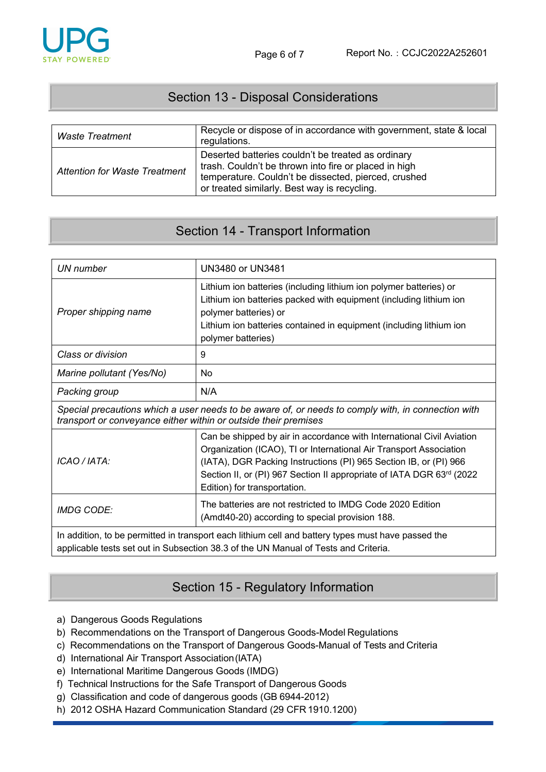#### Section 13 - Disposal Considerations

| Waste Treatment                      | Recycle or dispose of in accordance with government, state & local<br>regulations.                                                                                                                                  |
|--------------------------------------|---------------------------------------------------------------------------------------------------------------------------------------------------------------------------------------------------------------------|
| <b>Attention for Waste Treatment</b> | Deserted batteries couldn't be treated as ordinary<br>trash. Couldn't be thrown into fire or placed in high<br>temperature. Couldn't be dissected, pierced, crushed<br>or treated similarly. Best way is recycling. |

#### Section 14 - Transport Information

| UN number                                                                                                                                                                                 | <b>UN3480 or UN3481</b>                                                                                                                                                                                                                                                                                                   |  |  |
|-------------------------------------------------------------------------------------------------------------------------------------------------------------------------------------------|---------------------------------------------------------------------------------------------------------------------------------------------------------------------------------------------------------------------------------------------------------------------------------------------------------------------------|--|--|
| Proper shipping name                                                                                                                                                                      | Lithium ion batteries (including lithium ion polymer batteries) or<br>Lithium ion batteries packed with equipment (including lithium ion<br>polymer batteries) or<br>Lithium ion batteries contained in equipment (including lithium ion<br>polymer batteries)                                                            |  |  |
| Class or division                                                                                                                                                                         | 9                                                                                                                                                                                                                                                                                                                         |  |  |
| Marine pollutant (Yes/No)                                                                                                                                                                 | <b>No</b>                                                                                                                                                                                                                                                                                                                 |  |  |
| Packing group                                                                                                                                                                             | N/A                                                                                                                                                                                                                                                                                                                       |  |  |
| Special precautions which a user needs to be aware of, or needs to comply with, in connection with<br>transport or conveyance either within or outside their premises                     |                                                                                                                                                                                                                                                                                                                           |  |  |
| ICAO / IATA:                                                                                                                                                                              | Can be shipped by air in accordance with International Civil Aviation<br>Organization (ICAO), TI or International Air Transport Association<br>(IATA), DGR Packing Instructions (PI) 965 Section IB, or (PI) 966<br>Section II, or (PI) 967 Section II appropriate of IATA DGR 63rd (2022<br>Edition) for transportation. |  |  |
| <b>IMDG CODE:</b>                                                                                                                                                                         | The batteries are not restricted to IMDG Code 2020 Edition<br>(Amdt40-20) according to special provision 188.                                                                                                                                                                                                             |  |  |
| In addition, to be permitted in transport each lithium cell and battery types must have passed the<br>applicable tests set out in Subsection 38.3 of the UN Manual of Tests and Criteria. |                                                                                                                                                                                                                                                                                                                           |  |  |

#### Section 15 - Regulatory Information

- a) Dangerous Goods Regulations
- b) Recommendations on the Transport of Dangerous Goods-Model Regulations
- c) Recommendations on the Transport of Dangerous Goods-Manual of Tests and Criteria
- d) International Air Transport Association(IATA)
- e) International Maritime Dangerous Goods (IMDG)
- f) Technical Instructions for the Safe Transport of Dangerous Goods
- g) Classification and code of dangerous goods (GB 6944-2012)
- h) 2012 OSHA Hazard Communication Standard (29 CFR 1910.1200)